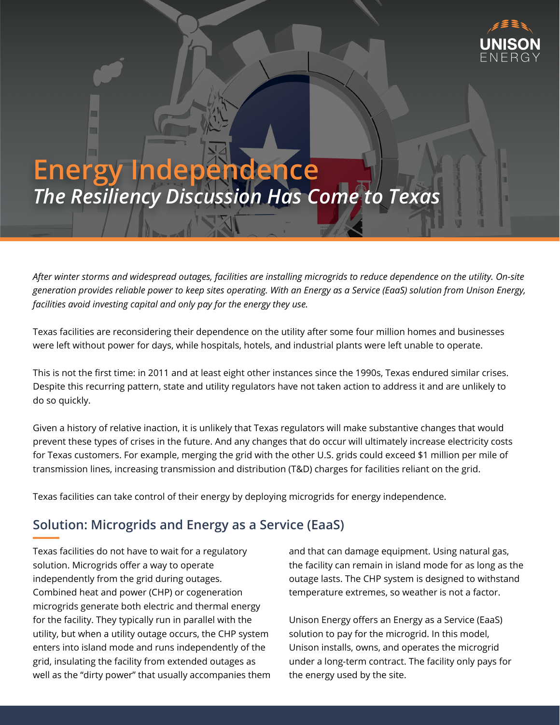

# **Energy Independence** *The Resiliency Discussion Has Come to Texas*

*After winter storms and widespread outages, facilities are installing microgrids to reduce dependence on the utility. On-site generation provides reliable power to keep sites operating. With an Energy as a Service (EaaS) solution from Unison Energy, facilities avoid investing capital and only pay for the energy they use.*

Texas facilities are reconsidering their dependence on the utility after some four million homes and businesses were left without power for days, while hospitals, hotels, and industrial plants were left unable to operate.

This is not the first time: in 2011 and at least eight other instances since the 1990s, Texas endured similar crises. Despite this recurring pattern, state and utility regulators have not taken action to address it and are unlikely to do so quickly.

Given a history of relative inaction, it is unlikely that Texas regulators will make substantive changes that would prevent these types of crises in the future. And any changes that do occur will ultimately increase electricity costs for Texas customers. For example, merging the grid with the other U.S. grids could exceed \$1 million per mile of transmission lines, increasing transmission and distribution (T&D) charges for facilities reliant on the grid.

Texas facilities can take control of their energy by deploying microgrids for energy independence.

## **Solution: Microgrids and Energy as a Service (EaaS)**

Texas facilities do not have to wait for a regulatory solution. Microgrids offer a way to operate independently from the grid during outages. Combined heat and power (CHP) or cogeneration microgrids generate both electric and thermal energy for the facility. They typically run in parallel with the utility, but when a utility outage occurs, the CHP system enters into island mode and runs independently of the grid, insulating the facility from extended outages as well as the "dirty power" that usually accompanies them and that can damage equipment. Using natural gas, the facility can remain in island mode for as long as the outage lasts. The CHP system is designed to withstand temperature extremes, so weather is not a factor.

Unison Energy offers an Energy as a Service (EaaS) solution to pay for the microgrid. In this model, Unison installs, owns, and operates the microgrid under a long-term contract. The facility only pays for the energy used by the site.